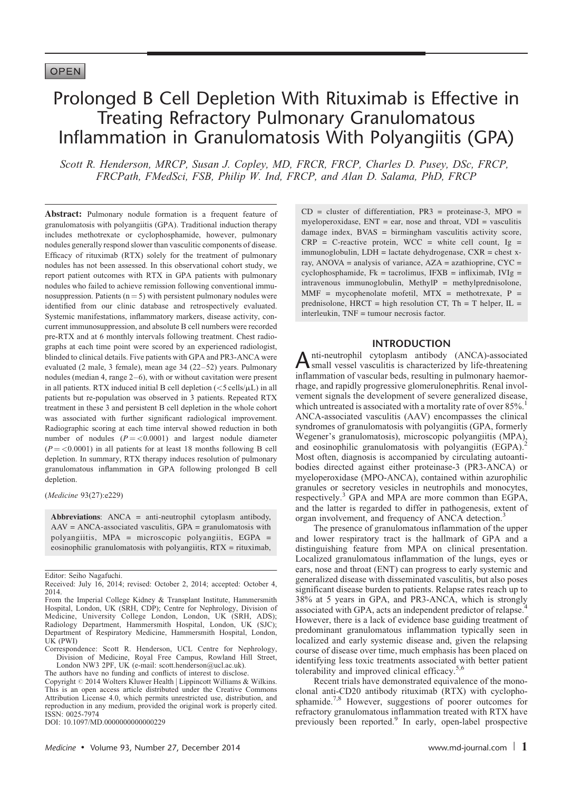# Prolonged B Cell Depletion With Rituximab is Effective in Treating Refractory Pulmonary Granulomatous Inflammation in Granulomatosis With Polyangiitis (GPA)

Scott R. Henderson, MRCP, Susan J. Copley, MD, FRCR, FRCP, Charles D. Pusey, DSc, FRCP, FRCPath, FMedSci, FSB, Philip W. Ind, FRCP, and Alan D. Salama, PhD, FRCP

Abstract: Pulmonary nodule formation is a frequent feature of granulomatosis with polyangiitis (GPA). Traditional induction therapy includes methotrexate or cyclophosphamide, however, pulmonary nodules generally respond slower than vasculitic components of disease. Efficacy of rituximab (RTX) solely for the treatment of pulmonary nodules has not been assessed. In this observational cohort study, we report patient outcomes with RTX in GPA patients with pulmonary nodules who failed to achieve remission following conventional immunosuppression. Patients  $(n = 5)$  with persistent pulmonary nodules were identified from our clinic database and retrospectively evaluated. Systemic manifestations, inflammatory markers, disease activity, concurrent immunosuppression, and absolute B cell numbers were recorded pre-RTX and at 6 monthly intervals following treatment. Chest radiographs at each time point were scored by an experienced radiologist, blinded to clinical details. Five patients with GPA and PR3-ANCA were evaluated (2 male, 3 female), mean age 34 (22–52) years. Pulmonary nodules (median 4, range 2–6), with or without cavitation were present in all patients. RTX induced initial B cell depletion  $\left\langle \langle 5 \text{ cells/}\mu \text{L}\right\rangle$  in all patients but re-population was observed in 3 patients. Repeated RTX treatment in these 3 and persistent B cell depletion in the whole cohort was associated with further significant radiological improvement. Radiographic scoring at each time interval showed reduction in both number of nodules  $(P = < 0.0001)$  and largest nodule diameter  $(P = 0.0001)$  in all patients for at least 18 months following B cell depletion. In summary, RTX therapy induces resolution of pulmonary granulomatous inflammation in GPA following prolonged B cell depletion.

(Medicine 93(27):e229)

Abbreviations: ANCA = anti-neutrophil cytoplasm antibody,  $AAV = ANCA$ -associated vasculitis,  $GPA =$  granulomatosis with polyangiitis, MPA = microscopic polyangiitis, EGPA = eosinophilic granulomatosis with polyangiitis, RTX = rituximab,

The authors have no funding and conflicts of interest to disclose.

DOI: [10.1097/MD.0000000000000229](http://dx.doi.org/10.1097/MD.0000000000000229)

 $CD = cluster of differentiation, PR3 = proteinase-3, MPO =$ myeloperoxidase,  $ENT = ear$ , nose and throat,  $VDI = vasculitis$ damage index,  $BVAS = birmingham$  vasculitis activity score,  $CRP = C$ -reactive protein, WCC = white cell count, Ig = immunoglobulin, LDH = lactate dehydrogenase, CXR = chest xray, ANOVA = analysis of variance, AZA = azathioprine, CYC = cyclophosphamide,  $Fk = \text{tacrolimus}$ ,  $IFXB = \text{infiximab}$ ,  $IVIg =$ intravenous immunoglobulin, MethylP = methylprednisolone,  $MMF = mycophenolate$  mofetil,  $MTX = methotrexact$ ,  $P =$ prednisolone,  $HRT = high resolution CT$ ,  $Th = T$  helper,  $IL =$ interleukin, TNF = tumour necrosis factor.

# INTRODUCTION

A nti-neutrophil cytoplasm antibody (ANCA)-associated<br>small vessel vasculitis is characterized by life-threatening inflammation of vascular beds, resulting in pulmonary haemorrhage, and rapidly progressive glomerulonephritis. Renal involvement signals the development of severe generalized disease, which untreated is associated with a mortality rate of over 85%. ANCA-associated vasculitis (AAV) encompasses the clinical syndromes of granulomatosis with polyangiitis (GPA, formerly Wegener's granulomatosis), microscopic polyangiitis (MPA), and eosinophilic granulomatosis with polyangiitis (EGPA). Most often, diagnosis is accompanied by circulating autoantibodies directed against either proteinase-3 (PR3-ANCA) or myeloperoxidase (MPO-ANCA), contained within azurophilic granules or secretory vesicles in neutrophils and monocytes, respectively.<sup>[3](#page-5-0)</sup> GPA and MPA are more common than EGPA, and the latter is regarded to differ in pathogenesis, extent of organ involvement, and frequency of ANCA detection.<sup>[3](#page-5-0)</sup>

The presence of granulomatous inflammation of the upper and lower respiratory tract is the hallmark of GPA and a distinguishing feature from MPA on clinical presentation. Localized granulomatous inflammation of the lungs, eyes or ears, nose and throat (ENT) can progress to early systemic and generalized disease with disseminated vasculitis, but also poses significant disease burden to patients. Relapse rates reach up to 38% at 5 years in GPA, and PR3-ANCA, which is strongly associated with GPA, acts an independent predictor of relapse.[4](#page-5-0) However, there is a lack of evidence base guiding treatment of predominant granulomatous inflammation typically seen in localized and early systemic disease and, given the relapsing course of disease over time, much emphasis has been placed on identifying less toxic treatments associated with better patient tolerability and improved clinical efficacy.<sup>[5,6](#page-5-0)</sup>

Recent trials have demonstrated equivalence of the monoclonal anti-CD20 antibody rituximab (RTX) with cyclophosphamide.[7,8](#page-5-0) However, suggestions of poorer outcomes for refractory granulomatous inflammation treated with RTX have previously been reported.<sup>[9](#page-5-0)</sup> In early, open-label prospective

Editor: Seiho Nagafuchi.

Received: July 16, 2014; revised: October 2, 2014; accepted: October 4, 2014.

From the Imperial College Kidney & Transplant Institute, Hammersmith Hospital, London, UK (SRH, CDP); Centre for Nephrology, Division of Medicine, University College London, London, UK (SRH, ADS); Radiology Department, Hammersmith Hospital, London, UK (SJC); Department of Respiratory Medicine, Hammersmith Hospital, London, UK (PWI)

Correspondence: Scott R. Henderson, UCL Centre for Nephrology, Division of Medicine, Royal Free Campus, Rowland Hill Street, London NW3 2PF, UK (e-mail: [scott.henderson@ucl.ac.uk](mailto:scott.henderson@ucl.ac.uk)).

Copyright © 2014 Wolters Kluwer Health | Lippincott Williams & Wilkins. This is an open access article distributed under the Creative Commons Attribution License 4.0, which permits unrestricted use, distribution, and reproduction in any medium, provided the original work is properly cited. ISSN: 0025-7974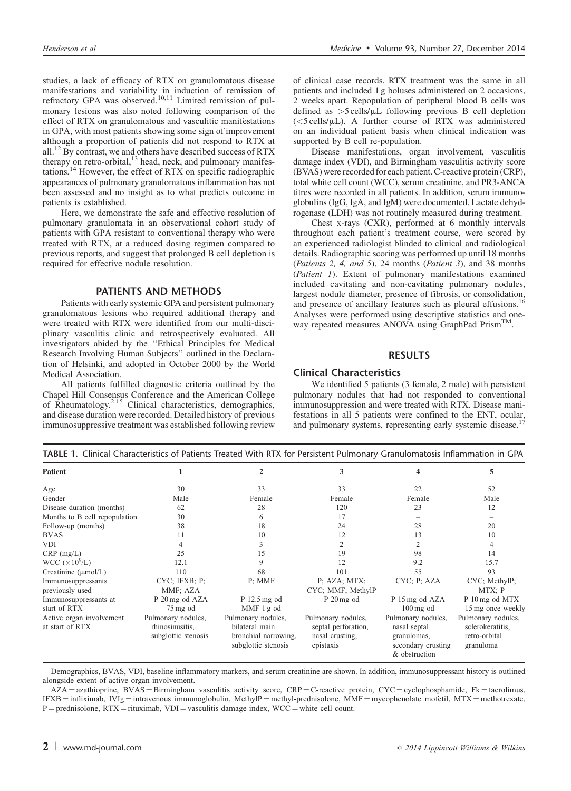<span id="page-1-0"></span>studies, a lack of efficacy of RTX on granulomatous disease manifestations and variability in induction of remission of refractory GPA was observed.<sup>[10,11](#page-5-0)</sup> Limited remission of pulmonary lesions was also noted following comparison of the effect of RTX on granulomatous and vasculitic manifestations in GPA, with most patients showing some sign of improvement although a proportion of patients did not respond to RTX at all[.12](#page-5-0) By contrast, we and others have described success of RTX therapy on retro-orbital, $^{13}$  $^{13}$  $^{13}$  head, neck, and pulmonary manifestations[.14](#page-5-0) However, the effect of RTX on specific radiographic appearances of pulmonary granulomatous inflammation has not been assessed and no insight as to what predicts outcome in patients is established.

Here, we demonstrate the safe and effective resolution of pulmonary granulomata in an observational cohort study of patients with GPA resistant to conventional therapy who were treated with RTX, at a reduced dosing regimen compared to previous reports, and suggest that prolonged B cell depletion is required for effective nodule resolution.

## PATIENTS AND METHODS

Patients with early systemic GPA and persistent pulmonary granulomatous lesions who required additional therapy and were treated with RTX were identified from our multi-disciplinary vasculitis clinic and retrospectively evaluated. All investigators abided by the ''Ethical Principles for Medical Research Involving Human Subjects'' outlined in the Declaration of Helsinki, and adopted in October 2000 by the World Medical Association.

All patients fulfilled diagnostic criteria outlined by the Chapel Hill Consensus Conference and the American College of Rheumatology.[2,15](#page-5-0) Clinical characteristics, demographics, and disease duration were recorded. Detailed history of previous immunosuppressive treatment was established following review of clinical case records. RTX treatment was the same in all patients and included 1 g boluses administered on 2 occasions, 2 weeks apart. Repopulation of peripheral blood B cells was defined as  $>5$  cells/ $\mu$ L following previous B cell depletion  $\langle$ <5 cells/ $\mu$ L). A further course of RTX was administered on an individual patient basis when clinical indication was supported by B cell re-population.

Disease manifestations, organ involvement, vasculitis damage index (VDI), and Birmingham vasculitis activity score (BVAS) were recorded for each patient. C-reactive protein (CRP), total white cell count (WCC), serum creatinine, and PR3-ANCA titres were recorded in all patients. In addition, serum immunoglobulins (IgG, IgA, and IgM) were documented. Lactate dehydrogenase (LDH) was not routinely measured during treatment.

Chest x-rays (CXR), performed at 6 monthly intervals throughout each patient's treatment course, were scored by an experienced radiologist blinded to clinical and radiological details. Radiographic scoring was performed up until 18 months (Patients 2, 4, and 5), 24 months (Patient 3), and 38 months (Patient 1). Extent of pulmonary manifestations examined included cavitating and non-cavitating pulmonary nodules, largest nodule diameter, presence of fibrosis, or consolidation, and presence of ancillary features such as pleural effusions.<sup>[16](#page-5-0)</sup> Analyses were performed using descriptive statistics and oneway repeated measures ANOVA using GraphPad PrismTM.

## RESULTS

## Clinical Characteristics

We identified 5 patients (3 female, 2 male) with persistent pulmonary nodules that had not responded to conventional immunosuppression and were treated with RTX. Disease manifestations in all 5 patients were confined to the ENT, ocular, and pulmonary systems, representing early systemic disease.<sup>17</sup>

| <b>Patient</b>                              |                                                              |                                                                                     |                                                                           |                                                                                          |                                                                      |
|---------------------------------------------|--------------------------------------------------------------|-------------------------------------------------------------------------------------|---------------------------------------------------------------------------|------------------------------------------------------------------------------------------|----------------------------------------------------------------------|
|                                             |                                                              |                                                                                     | 3                                                                         | 4                                                                                        | 5                                                                    |
| Age                                         | 30                                                           | 33                                                                                  | 33                                                                        | 22                                                                                       | 52                                                                   |
| Gender                                      | Male                                                         | Female                                                                              | Female                                                                    | Female                                                                                   | Male                                                                 |
| Disease duration (months)                   | 62                                                           | 28                                                                                  | 120                                                                       | 23                                                                                       | 12                                                                   |
| Months to B cell repopulation               | 30                                                           | 6                                                                                   | 17                                                                        |                                                                                          |                                                                      |
| Follow-up (months)                          | 38                                                           | 18                                                                                  | 24                                                                        | 28                                                                                       | 20                                                                   |
| <b>BVAS</b>                                 | 11                                                           | 10                                                                                  | 12                                                                        | 13                                                                                       | 10                                                                   |
| VDI                                         |                                                              |                                                                                     | 2                                                                         |                                                                                          | 4                                                                    |
| $CRP$ (mg/L)                                | 25                                                           | 15                                                                                  | 19                                                                        | 98                                                                                       | 14                                                                   |
| WCC $(\times 10^9$ /L)                      | 12.1                                                         |                                                                                     | 12                                                                        | 9.2                                                                                      | 15.7                                                                 |
| Creatinine $(\mu \text{mol/L})$             | 110                                                          | 68                                                                                  | 101                                                                       | 55                                                                                       | 93                                                                   |
| Immunosuppressants                          | CYC; IFXB; P;                                                | P: MMF                                                                              | P: AZA: MTX;                                                              | CYC; P; AZA                                                                              | CYC; MethylP;                                                        |
| previously used                             | MMF; AZA                                                     |                                                                                     | CYC; MMF; MethylP                                                         |                                                                                          | MTX; P                                                               |
| Immunosuppressants at<br>start of RTX       | P 20 mg od AZA<br>$75 \,\mathrm{mg}$ od                      | P 12.5 mg od<br>MMF 1g od                                                           | $P_20mg$ od                                                               | P 15 mg od AZA<br>$100 \,\mathrm{mg}$ od                                                 | P 10 mg od MTX<br>15 mg once weekly                                  |
| Active organ involvement<br>at start of RTX | Pulmonary nodules,<br>rhinosinusitis,<br>subglottic stenosis | Pulmonary nodules,<br>bilateral main<br>bronchial narrowing,<br>subglottic stenosis | Pulmonary nodules,<br>septal perforation,<br>nasal crusting,<br>epistaxis | Pulmonary nodules,<br>nasal septal<br>granulomas,<br>secondary crusting<br>& obstruction | Pulmonary nodules,<br>sclerokeratitis.<br>retro-orbital<br>granuloma |

TABLE 1. Clinical Characteristics of Patients Treated With RTX for Persistent Pulmonary Granulomatosis Inflammation in GPA

Demographics, BVAS, VDI, baseline inflammatory markers, and serum creatinine are shown. In addition, immunosuppressant history is outlined alongside extent of active organ involvement.

AZA = azathioprine, BVAS = Birmingham vasculitis activity score, CRP = C-reactive protein, CYC = cyclophosphamide, Fk = tacrolimus, IFXB = infliximab, IVIg = intravenous immunoglobulin, MethylP = methyl-prednisolone, MMF = mycophenolate mofetil, MTX = methotrexate,  $P =$  prednisolone, RTX = rituximab, VDI = vasculitis damage index, WCC = white cell count.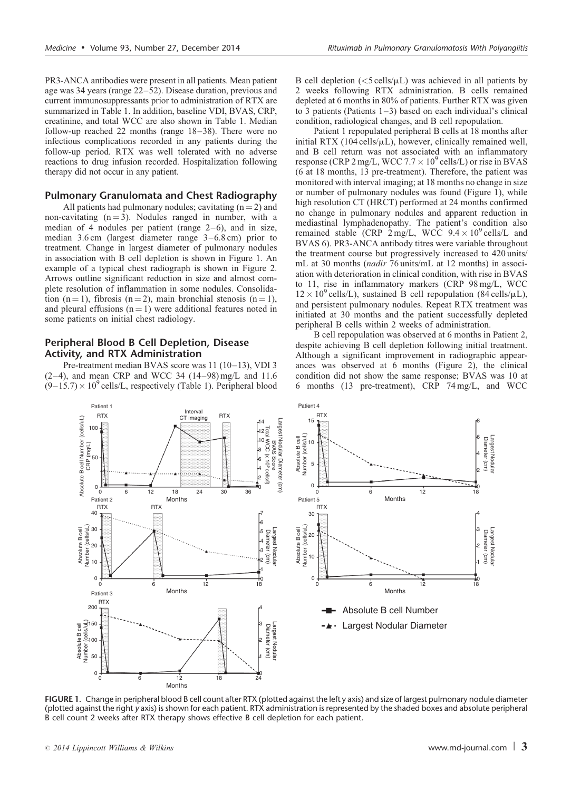<span id="page-2-0"></span>PR3-ANCA antibodies were present in all patients. Mean patient age was 34 years (range 22–52). Disease duration, previous and current immunosuppressants prior to administration of RTX are summarized in [Table 1.](#page-1-0) In addition, baseline VDI, BVAS, CRP, creatinine, and total WCC are also shown in [Table 1.](#page-1-0) Median follow-up reached 22 months (range 18–38). There were no infectious complications recorded in any patients during the follow-up period. RTX was well tolerated with no adverse reactions to drug infusion recorded. Hospitalization following therapy did not occur in any patient.

## Pulmonary Granulomata and Chest Radiography

All patients had pulmonary nodules; cavitating  $(n = 2)$  and non-cavitating  $(n = 3)$ . Nodules ranged in number, with a median of 4 nodules per patient (range 2–6), and in size, median 3.6 cm (largest diameter range 3–6.8 cm) prior to treatment. Change in largest diameter of pulmonary nodules in association with B cell depletion is shown in Figure 1. An example of a typical chest radiograph is shown in [Figure 2.](#page-3-0) Arrows outline significant reduction in size and almost complete resolution of inflammation in some nodules. Consolidation (n = 1), fibrosis (n = 2), main bronchial stenosis (n = 1), and pleural effusions  $(n = 1)$  were additional features noted in some patients on initial chest radiology.

# Peripheral Blood B Cell Depletion, Disease Activity, and RTX Administration

Pre-treatment median BVAS score was 11 (10–13), VDI 3 (2–4), and mean CRP and WCC 34 (14–98) mg/L and 11.6  $(9-15.7) \times 10^{9}$  cells/L, respectively [\(Table 1\)](#page-1-0). Peripheral blood

B cell depletion  $\left(\langle 5 \text{ cells/}\mu\right| \right)$  was achieved in all patients by 2 weeks following RTX administration. B cells remained depleted at 6 months in 80% of patients. Further RTX was given to 3 patients (Patients  $1-3$ ) based on each individual's clinical condition, radiological changes, and B cell repopulation.

Patient 1 repopulated peripheral B cells at 18 months after initial RTX (104 cells/ $\mu$ L), however, clinically remained well, and B cell return was not associated with an inflammatory response (CRP 2 mg/L, WCC 7.7  $\times$  10<sup>9</sup> cells/L) or rise in BVAS (6 at 18 months, 13 pre-treatment). Therefore, the patient was monitored with interval imaging; at 18 months no change in size or number of pulmonary nodules was found (Figure 1), while high resolution CT (HRCT) performed at 24 months confirmed no change in pulmonary nodules and apparent reduction in mediastinal lymphadenopathy. The patient's condition also remained stable (CRP  $2 \text{ mg/L}$ , WCC  $9.4 \times 10^9 \text{ cells/L}$  and BVAS 6). PR3-ANCA antibody titres were variable throughout the treatment course but progressively increased to 420 units/ mL at 30 months (nadir 76 units/mL at 12 months) in association with deterioration in clinical condition, with rise in BVAS to 11, rise in inflammatory markers (CRP 98 mg/L, WCC  $12 \times 10^9$  cells/L), sustained B cell repopulation (84 cells/ $\mu$ L), and persistent pulmonary nodules. Repeat RTX treatment was initiated at 30 months and the patient successfully depleted peripheral B cells within 2 weeks of administration.

B cell repopulation was observed at 6 months in Patient 2, despite achieving B cell depletion following initial treatment. Although a significant improvement in radiographic appearances was observed at 6 months ([Figure 2](#page-3-0)), the clinical condition did not show the same response; BVAS was 10 at 6 months (13 pre-treatment), CRP 74 mg/L, and WCC



FIGURE 1. Change in peripheral blood B cell count after RTX (plotted against the left y axis) and size of largest pulmonary nodule diameter (plotted against the right *y* axis) is shown for each patient. RTX administration is represented by the shaded boxes and absolute peripheral B cell count 2 weeks after RTX therapy shows effective B cell depletion for each patient.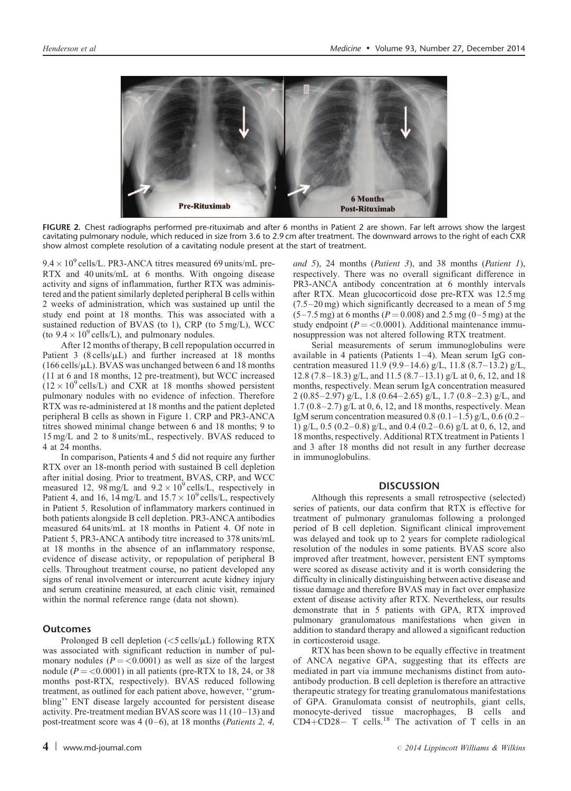<span id="page-3-0"></span>

FIGURE 2. Chest radiographs performed pre-rituximab and after 6 months in Patient 2 are shown. Far left arrows show the largest cavitating pulmonary nodule, which reduced in size from 3.6 to 2.9 cm after treatment. The downward arrows to the right of each CXR show almost complete resolution of a cavitating nodule present at the start of treatment.

 $9.4 \times 10^9$  cells/L. PR3-ANCA titres measured 69 units/mL pre-RTX and 40 units/mL at 6 months. With ongoing disease activity and signs of inflammation, further RTX was administered and the patient similarly depleted peripheral B cells within 2 weeks of administration, which was sustained up until the study end point at 18 months. This was associated with a sustained reduction of BVAS (to 1), CRP (to 5 mg/L), WCC (to  $9.4 \times 10^9$  cells/L), and pulmonary nodules.

After 12 months of therapy, B cell repopulation occurred in Patient 3 (8 cells/ $\mu$ L) and further increased at 18 months  $(166 \, \text{cells/}\mu\text{L})$ . BVAS was unchanged between 6 and 18 months (11 at 6 and 18 months, 12 pre-treatment), but WCC increased  $(12 \times 10^{9} \text{ cells/L})$  and CXR at 18 months showed persistent pulmonary nodules with no evidence of infection. Therefore RTX was re-administered at 18 months and the patient depleted peripheral B cells as shown in [Figure 1](#page-2-0). CRP and PR3-ANCA titres showed minimal change between 6 and 18 months; 9 to 15 mg/L and 2 to 8 units/mL, respectively. BVAS reduced to 4 at 24 months.

In comparison, Patients 4 and 5 did not require any further RTX over an 18-month period with sustained B cell depletion after initial dosing. Prior to treatment, BVAS, CRP, and WCC measured 12,  $98 \text{ mg/L}$  and  $9.2 \times 10^9 \text{ cells/L}$ , respectively in Patient 4, and 16,  $14 \text{ mg/L}$  and  $15.7 \times 10^9 \text{ cells/L}$ , respectively in Patient 5. Resolution of inflammatory markers continued in both patients alongside B cell depletion. PR3-ANCA antibodies measured 64 units/mL at 18 months in Patient 4. Of note in Patient 5, PR3-ANCA antibody titre increased to 378 units/mL at 18 months in the absence of an inflammatory response, evidence of disease activity, or repopulation of peripheral B cells. Throughout treatment course, no patient developed any signs of renal involvement or intercurrent acute kidney injury and serum creatinine measured, at each clinic visit, remained within the normal reference range (data not shown).

#### Outcomes

Prolonged B cell depletion  $(<5 \text{ cells/µL})$  following RTX was associated with significant reduction in number of pulmonary nodules ( $P = \langle 0.0001 \rangle$  as well as size of the largest nodule ( $P = < 0.0001$ ) in all patients (pre-RTX to 18, 24, or 38 months post-RTX, respectively). BVAS reduced following treatment, as outlined for each patient above, however, ''grumbling'' ENT disease largely accounted for persistent disease activity. Pre-treatment median BVAS score was 11 (10–13) and post-treatment score was  $4(0-6)$ , at 18 months (*Patients 2, 4*,

and 5), 24 months (Patient 3), and 38 months (Patient 1), respectively. There was no overall significant difference in PR3-ANCA antibody concentration at 6 monthly intervals after RTX. Mean glucocorticoid dose pre-RTX was 12.5 mg (7.5–20 mg) which significantly decreased to a mean of 5 mg  $(5-7.5 \text{ mg})$  at 6 months ( $P = 0.008$ ) and 2.5 mg (0–5 mg) at the study endpoint ( $P = < 0.0001$ ). Additional maintenance immunosuppression was not altered following RTX treatment.

Serial measurements of serum immunoglobulins were available in 4 patients (Patients 1–4). Mean serum IgG concentration measured 11.9 (9.9–14.6) g/L, 11.8 (8.7–13.2) g/L, 12.8 (7.8–18.3) g/L, and 11.5 (8.7–13.1) g/L at 0, 6, 12, and 18 months, respectively. Mean serum IgA concentration measured 2 (0.85–2.97) g/L, 1.8 (0.64–2.65) g/L, 1.7 (0.8–2.3) g/L, and  $1.7 (0.8-2.7)$  g/L at 0, 6, 12, and 18 months, respectively. Mean IgM serum concentration measured 0.8 (0.1–1.5) g/L, 0.6 (0.2– 1) g/L, 0.5 (0.2–0.8) g/L, and 0.4 (0.2–0.6) g/L at 0, 6, 12, and 18 months, respectively. Additional RTX treatment in Patients 1 and 3 after 18 months did not result in any further decrease in immunoglobulins.

#### **DISCUSSION**

Although this represents a small retrospective (selected) series of patients, our data confirm that RTX is effective for treatment of pulmonary granulomas following a prolonged period of B cell depletion. Significant clinical improvement was delayed and took up to 2 years for complete radiological resolution of the nodules in some patients. BVAS score also improved after treatment, however, persistent ENT symptoms were scored as disease activity and it is worth considering the difficulty in clinically distinguishing between active disease and tissue damage and therefore BVAS may in fact over emphasize extent of disease activity after RTX. Nevertheless, our results demonstrate that in 5 patients with GPA, RTX improved pulmonary granulomatous manifestations when given in addition to standard therapy and allowed a significant reduction in corticosteroid usage.

RTX has been shown to be equally effective in treatment of ANCA negative GPA, suggesting that its effects are mediated in part via immune mechanisms distinct from autoantibody production. B cell depletion is therefore an attractive therapeutic strategy for treating granulomatous manifestations of GPA. Granulomata consist of neutrophils, giant cells, monocyte-derived tissue macrophages, B cells and  $CD4+CD28-$  T cells.<sup>[18](#page-5-0)</sup> The activation of T cells in an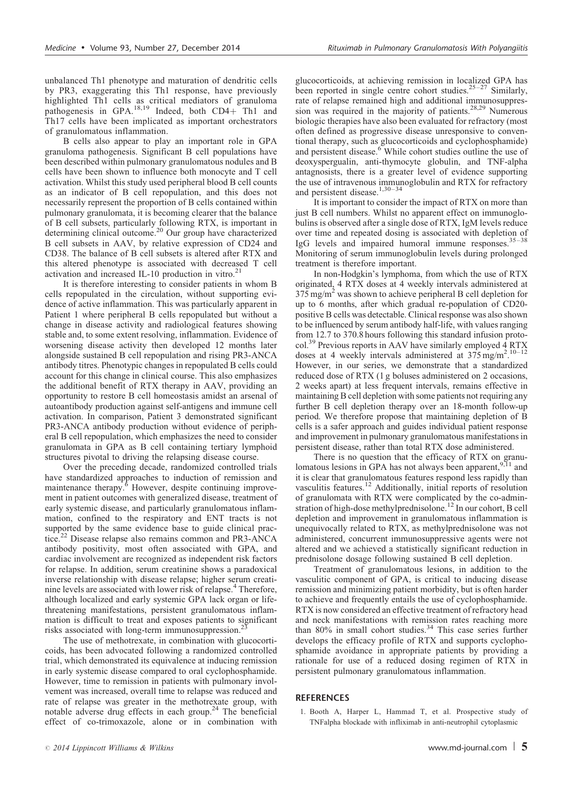<span id="page-4-0"></span>unbalanced Th1 phenotype and maturation of dendritic cells by PR3, exaggerating this Th1 response, have previously highlighted Th1 cells as critical mediators of granuloma<br>pathogenesis in GPA.<sup>[18,19](#page-5-0)</sup> Indeed, both CD4+ Th1 and Th17 cells have been implicated as important orchestrators of granulomatous inflammation.

B cells also appear to play an important role in GPA granuloma pathogenesis. Significant B cell populations have been described within pulmonary granulomatous nodules and B cells have been shown to influence both monocyte and T cell activation. Whilst this study used peripheral blood B cell counts as an indicator of B cell repopulation, and this does not necessarily represent the proportion of B cells contained within pulmonary granulomata, it is becoming clearer that the balance of B cell subsets, particularly following RTX, is important in determining clinical outcome.<sup>20</sup> Our group have characterized B cell subsets in AAV, by relative expression of CD24 and CD38. The balance of B cell subsets is altered after RTX and this altered phenotype is associated with decreased T cell activation and increased IL-10 production in vitro.<sup>[21](#page-5-0)</sup>

It is therefore interesting to consider patients in whom B cells repopulated in the circulation, without supporting evidence of active inflammation. This was particularly apparent in Patient 1 where peripheral B cells repopulated but without a change in disease activity and radiological features showing stable and, to some extent resolving, inflammation. Evidence of worsening disease activity then developed 12 months later alongside sustained B cell repopulation and rising PR3-ANCA antibody titres. Phenotypic changes in repopulated B cells could account for this change in clinical course. This also emphasizes the additional benefit of RTX therapy in AAV, providing an opportunity to restore B cell homeostasis amidst an arsenal of autoantibody production against self-antigens and immune cell activation. In comparison, Patient 3 demonstrated significant PR3-ANCA antibody production without evidence of peripheral B cell repopulation, which emphasizes the need to consider granulomata in GPA as B cell containing tertiary lymphoid structures pivotal to driving the relapsing disease course.

Over the preceding decade, randomized controlled trials have standardized approaches to induction of remission and maintenance therapy[.6](#page-5-0) However, despite continuing improvement in patient outcomes with generalized disease, treatment of early systemic disease, and particularly granulomatous inflammation, confined to the respiratory and ENT tracts is not supported by the same evidence base to guide clinical prac-tice.<sup>[22](#page-5-0)</sup> Disease relapse also remains common and PR3-ANCA antibody positivity, most often associated with GPA, and cardiac involvement are recognized as independent risk factors for relapse. In addition, serum creatinine shows a paradoxical inverse relationship with disease relapse; higher serum creatinine levels are associated with lower risk of relapse.[4](#page-5-0) Therefore, although localized and early systemic GPA lack organ or lifethreatening manifestations, persistent granulomatous inflammation is difficult to treat and exposes patients to significant risks associated with long-term immunosuppression.<sup>2</sup>

The use of methotrexate, in combination with glucocorticoids, has been advocated following a randomized controlled trial, which demonstrated its equivalence at inducing remission in early systemic disease compared to oral cyclophosphamide. However, time to remission in patients with pulmonary involvement was increased, overall time to relapse was reduced and rate of relapse was greater in the methotrexate group, with notable adverse drug effects in each group.[24](#page-5-0) The beneficial effect of co-trimoxazole, alone or in combination with glucocorticoids, at achieving remission in localized GPA has been reported in single centre cohort studies.<sup>25-27</sup> Similarly, rate of relapse remained high and additional immunosuppres-<br>sion was required in the majority of patients.<sup>[28,29](#page-5-0)</sup> Numerous biologic therapies have also been evaluated for refractory (most often defined as progressive disease unresponsive to conven-tional therapy, such as glucocorticoids and cyclophosphamide) and persistent disease.<sup>[6](#page-5-0)</sup> While cohort studies outline the use of deoxyspergualin, anti-thymocyte globulin, and TNF-alpha antagnosists, there is a greater level of evidence supporting the use of intravenous immunoglobulin and RTX for refractory and persistent disease. $1,30-34$ 

It is important to consider the impact of RTX on more than just B cell numbers. Whilst no apparent effect on immunoglobulins is observed after a single dose of RTX, IgM levels reduce over time and repeated dosing is associated with depletion of IgG levels and impaired humoral immune responses.[35–38](#page-5-0) Monitoring of serum immunoglobulin levels during prolonged treatment is therefore important.

In non-Hodgkin's lymphoma, from which the use of RTX originated, 4 RTX doses at 4 weekly intervals administered at  $375 \text{ mg/m}^2$  was shown to achieve peripheral B cell depletion for up to 6 months, after which gradual re-population of CD20 positive B cells was detectable. Clinical response was also shown to be influenced by serum antibody half-life, with values ranging from 12.7 to 370.8 hours following this standard infusion protocol.<sup>39</sup> Previous reports in AAV have similarly employed 4 RTX doses at 4 weekly intervals administered at  $375$  mg/m<sup>2</sup>.<sup>10-12</sup> However, in our series, we demonstrate that a standardized reduced dose of RTX (1 g boluses administered on 2 occasions, 2 weeks apart) at less frequent intervals, remains effective in maintaining B cell depletion with some patients not requiring any further B cell depletion therapy over an 18-month follow-up period. We therefore propose that maintaining depletion of B cells is a safer approach and guides individual patient response and improvement in pulmonary granulomatous manifestations in persistent disease, rather than total RTX dose administered.

There is no question that the efficacy of RTX on granu-lomatous lesions in GPA has not always been apparent,<sup>[9,11](#page-5-0)</sup> and it is clear that granulomatous features respond less rapidly than vasculitis features.[12](#page-5-0) Additionally, initial reports of resolution of granulomata with RTX were complicated by the co-admin-stration of high-dose methylprednisolone.<sup>[12](#page-5-0)</sup> In our cohort, B cell depletion and improvement in granulomatous inflammation is unequivocally related to RTX, as methylprednisolone was not administered, concurrent immunosuppressive agents were not altered and we achieved a statistically significant reduction in prednisolone dosage following sustained B cell depletion.

Treatment of granulomatous lesions, in addition to the vasculitic component of GPA, is critical to inducing disease remission and minimizing patient morbidity, but is often harder to achieve and frequently entails the use of cyclophosphamide. RTX is now considered an effective treatment of refractory head and neck manifestations with remission rates reaching more than  $80\%$  in small cohort studies.<sup>34</sup> This case series further develops the efficacy profile of RTX and supports cyclophosphamide avoidance in appropriate patients by providing a rationale for use of a reduced dosing regimen of RTX in persistent pulmonary granulomatous inflammation.

#### **REFERENCES**

1. Booth A, Harper L, Hammad T, et al. Prospective study of TNFalpha blockade with infliximab in anti-neutrophil cytoplasmic